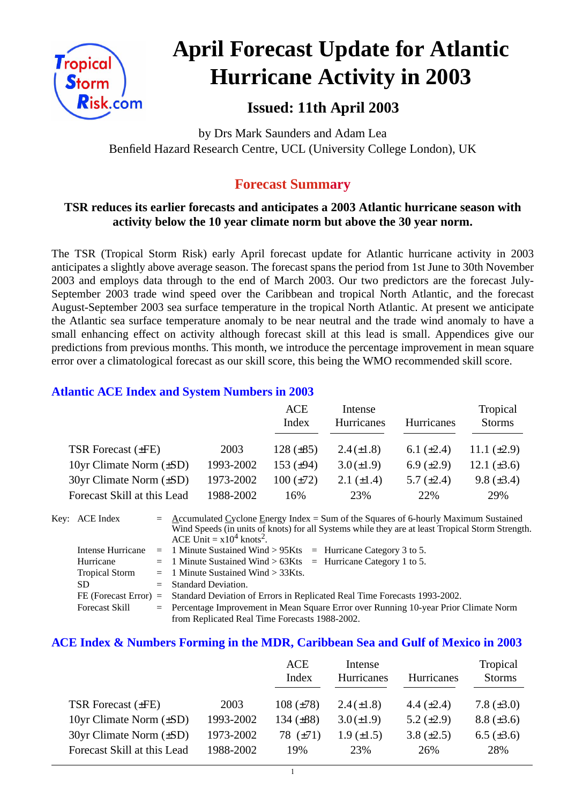

# **April Forecast Update for Atlantic Hurricane Activity in 2003**

## **Issued: 11th April 2003**

by Drs Mark Saunders and Adam Lea Benfield Hazard Research Centre, UCL (University College London), UK

## **Forecast Summary**

#### **TSR reduces its earlier forecasts and anticipates a 2003 Atlantic hurricane season with activity below the 10 year climate norm but above the 30 year norm.**

The TSR (Tropical Storm Risk) early April forecast update for Atlantic hurricane activity in 2003 anticipates a slightly above average season. The forecast spans the period from 1st June to 30th November 2003 and employs data through to the end of March 2003. Our two predictors are the forecast July-September 2003 trade wind speed over the Caribbean and tropical North Atlantic, and the forecast August-September 2003 sea surface temperature in the tropical North Atlantic. At present we anticipate the Atlantic sea surface temperature anomaly to be near neutral and the trade wind anomaly to have a small enhancing effect on activity although forecast skill at this lead is small. Appendices give our predictions from previous months. This month, we introduce the percentage improvement in mean square error over a climatological forecast as our skill score, this being the WMO recommended skill score.

#### **Atlantic ACE Index and System Numbers in 2003**

|                                |           | ACE            | Intense         |                 | Tropical         |
|--------------------------------|-----------|----------------|-----------------|-----------------|------------------|
|                                |           | Index          | Hurricanes      | Hurricanes      | <b>Storms</b>    |
|                                |           |                |                 |                 |                  |
| TSR Forecast $(\pm FE)$        | 2003      | 128 $(\pm 85)$ | $2.4(\pm 1.8)$  | 6.1 $(\pm 2.4)$ | 11.1 $(\pm 2.9)$ |
| 10yr Climate Norm $(\pm SD)$   | 1993-2002 | 153 $(\pm 94)$ | $3.0 (\pm 1.9)$ | 6.9 $(\pm 2.9)$ | 12.1 $(\pm 3.6)$ |
| $30yr$ Climate Norm $(\pm SD)$ | 1973-2002 | $100 (\pm 72)$ | 2.1 $(\pm 1.4)$ | 5.7 $(\pm 2.4)$ | 9.8 $(\pm 3.4)$  |
| Forecast Skill at this Lead    | 1988-2002 | 16%            | 23%             | 22%             | 29%              |

| Key: ACE Index        | $=$ Accumulated Cyclone Energy Index = Sum of the Squares of 6-hourly Maximum Sustained                                                     |  |  |  |  |
|-----------------------|---------------------------------------------------------------------------------------------------------------------------------------------|--|--|--|--|
|                       | Wind Speeds (in units of knots) for all Systems while they are at least Tropical Storm Strength.<br>ACE Unit = $x10^4$ knots <sup>2</sup> . |  |  |  |  |
| Intense Hurricane     | $=$ 1 Minute Sustained Wind > 95Kts $=$ Hurricane Category 3 to 5.                                                                          |  |  |  |  |
| Hurricane             | $=$ 1 Minute Sustained Wind > 63Kts $=$ Hurricane Category 1 to 5.                                                                          |  |  |  |  |
| <b>Tropical Storm</b> | $=$ 1 Minute Sustained Wind $>$ 33Kts.                                                                                                      |  |  |  |  |
| SD.                   | $=$ Standard Deviation.                                                                                                                     |  |  |  |  |
|                       | FE (Forecast Error) = Standard Deviation of Errors in Replicated Real Time Forecasts 1993-2002.                                             |  |  |  |  |
| <b>Forecast Skill</b> | = Percentage Improvement in Mean Square Error over Running 10-year Prior Climate Norm                                                       |  |  |  |  |
|                       | from Replicated Real Time Forecasts 1988-2002.                                                                                              |  |  |  |  |

#### **ACE Index & Numbers Forming in the MDR, Caribbean Sea and Gulf of Mexico in 2003**

|                                |           | ACE<br>Index   | Intense<br>Hurricanes | Hurricanes      | Tropical<br><b>Storms</b> |
|--------------------------------|-----------|----------------|-----------------------|-----------------|---------------------------|
| TSR Forecast $(\pm FE)$        | 2003      | $108 (\pm 78)$ | $2.4(\pm 1.8)$        | 4.4 $(\pm 2.4)$ | 7.8 $(\pm 3.0)$           |
| 10yr Climate Norm $(\pm SD)$   | 1993-2002 | 134 $(\pm 88)$ | $3.0 (\pm 1.9)$       | 5.2 $(\pm 2.9)$ | $8.8 (\pm 3.6)$           |
| $30yr$ Climate Norm $(\pm SD)$ | 1973-2002 | 78 $(\pm 71)$  | $1.9 \ (\pm 1.5)$     | 3.8 $(\pm 2.5)$ | 6.5 $(\pm 3.6)$           |
| Forecast Skill at this Lead    | 1988-2002 | 19%            | 23%                   | 26%             | 28%                       |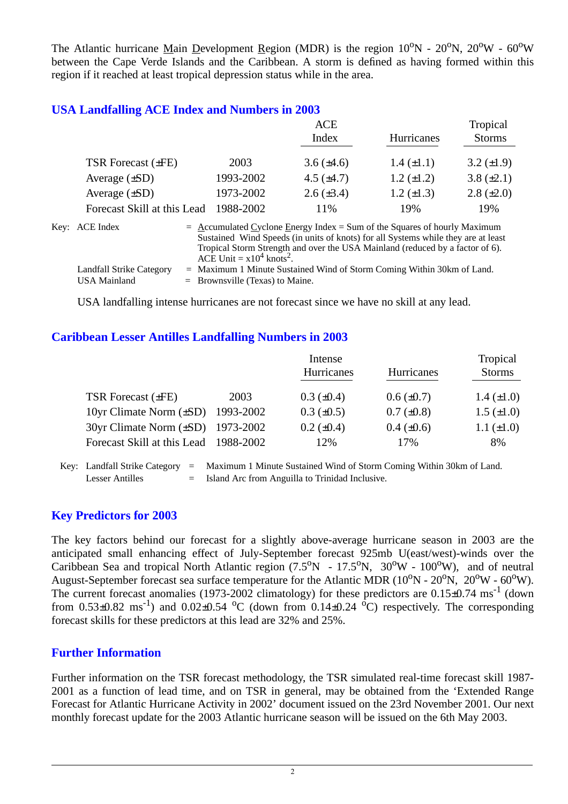The Atlantic hurricane Main Development Region (MDR) is the region  $10^{\circ}N - 20^{\circ}N$ ,  $20^{\circ}W - 60^{\circ}W$ between the Cape Verde Islands and the Caribbean. A storm is defined as having formed within this region if it reached at least tropical depression status while in the area.

#### **USA Landfalling ACE Index and Numbers in 2003**

|                             |           | ACE             |                   | Tropical        |
|-----------------------------|-----------|-----------------|-------------------|-----------------|
|                             |           | Index           | Hurricanes        | <b>Storms</b>   |
|                             |           |                 |                   |                 |
| TSR Forecast $(\pm FE)$     | 2003      | $3.6 (\pm 4.6)$ | $1.4 \ (\pm 1.1)$ | 3.2 $(\pm 1.9)$ |
| Average $(\pm SD)$          | 1993-2002 | 4.5 $(\pm 4.7)$ | $1.2 \ (\pm 1.2)$ | $3.8 (\pm 2.1)$ |
| Average $(\pm SD)$          | 1973-2002 | $2.6 (\pm 3.4)$ | $1.2 \ (\pm 1.3)$ | $2.8 (\pm 2.0)$ |
| Forecast Skill at this Lead | 1988-2002 | 11%             | 19%               | 19%             |
|                             |           |                 |                   |                 |

| Key: ACE Index           | $=$ Accumulated Cyclone Energy Index $=$ Sum of the Squares of hourly Maximum     |
|--------------------------|-----------------------------------------------------------------------------------|
|                          | Sustained Wind Speeds (in units of knots) for all Systems while they are at least |
|                          | Tropical Storm Strength and over the USA Mainland (reduced by a factor of 6).     |
|                          | ACE Unit = $x10^4$ knots <sup>2</sup> .                                           |
| Landfall Strike Category | $=$ Maximum 1 Minute Sustained Wind of Storm Coming Within 30km of Land.          |
| USA Mainland             | $=$ Brownsville (Texas) to Maine.                                                 |

USA landfalling intense hurricanes are not forecast since we have no skill at any lead.

#### **Caribbean Lesser Antilles Landfalling Numbers in 2003**

|                                          |      | Intense           |                   |                   |  |
|------------------------------------------|------|-------------------|-------------------|-------------------|--|
|                                          |      | Hurricanes        | <b>Hurricanes</b> | <b>Storms</b>     |  |
| TSR Forecast $(\pm FE)$                  | 2003 | $0.3 \ (\pm 0.4)$ | $0.6 (\pm 0.7)$   | 1.4 $(\pm 1.0)$   |  |
| 10yr Climate Norm $(\pm SD)$ 1993-2002   |      | $0.3 \ (\pm 0.5)$ | $0.7 (\pm 0.8)$   | $1.5 \ (\pm 1.0)$ |  |
| $30yr$ Climate Norm $(\pm SD)$ 1973-2002 |      | $0.2 \ (\pm 0.4)$ | $0.4 \ (\pm 0.6)$ | $1.1 (\pm 1.0)$   |  |
| Forecast Skill at this Lead 1988-2002    |      | 12%               | 17%               | 8%                |  |

Key: Landfall Strike Category = Maximum 1 Minute Sustained Wind of Storm Coming Within 30km of Land. Lesser Antilles = Island Arc from Anguilla to Trinidad Inclusive.

#### **Key Predictors for 2003**

The key factors behind our forecast for a slightly above-average hurricane season in 2003 are the anticipated small enhancing effect of July-September forecast 925mb U(east/west)-winds over the Caribbean Sea and tropical North Atlantic region  $(7.5^{\circ}N - 17.5^{\circ}N, 30^{\circ}W - 100^{\circ}W)$ , and of neutral August-September forecast sea surface temperature for the Atlantic MDR ( $10^{\circ}$ N -  $20^{\circ}$ N,  $20^{\circ}$ W -  $60^{\circ}$ W). The current forecast anomalies (1973-2002 climatology) for these predictors are  $0.15\pm0.74$  ms<sup>-1</sup> (down from  $0.53\pm0.82$  ms<sup>-1</sup>) and  $0.02\pm0.54$  <sup>o</sup>C (down from  $0.14\pm0.24$  <sup>o</sup>C) respectively. The corresponding forecast skills for these predictors at this lead are 32% and 25%.

#### **Further Information**

Further information on the TSR forecast methodology, the TSR simulated real-time forecast skill 1987- 2001 as a function of lead time, and on TSR in general, may be obtained from the 'Extended Range Forecast for Atlantic Hurricane Activity in 2002' document issued on the 23rd November 2001. Our next monthly forecast update for the 2003 Atlantic hurricane season will be issued on the 6th May 2003.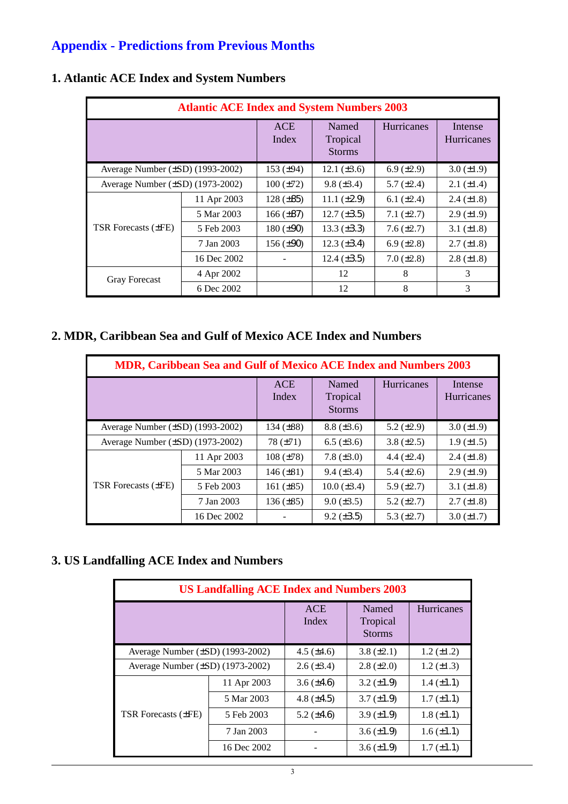# **Appendix - Predictions from Previous Months**

| <b>Atlantic ACE Index and System Numbers 2003</b> |             |                     |                                    |                   |                              |  |  |
|---------------------------------------------------|-------------|---------------------|------------------------------------|-------------------|------------------------------|--|--|
|                                                   |             | <b>ACE</b><br>Index | Named<br>Tropical<br><b>Storms</b> | <b>Hurricanes</b> | Intense<br><b>Hurricanes</b> |  |  |
| Average Number $(\pm SD)$ (1993-2002)             |             | 153 $(\pm 94)$      | 12.1 $(\pm 3.6)$                   | $6.9 \ (\pm 2.9)$ | $3.0 (\pm 1.9)$              |  |  |
| Average Number $(\pm SD)$ (1973-2002)             |             | $100 (\pm 72)$      | $9.8 \ (\pm 3.4)$                  | 5.7 $(\pm 2.4)$   | $2.1 (\pm 1.4)$              |  |  |
|                                                   | 11 Apr 2003 | $128 (\pm 85)$      | 11.1 $(\pm 2.9)$                   | 6.1 $(\pm 2.4)$   | $2.4 \ (\pm 1.8)$            |  |  |
|                                                   | 5 Mar 2003  | $166 (\pm 87)$      | $12.7 (\pm 3.5)$                   | 7.1 $(\pm 2.7)$   | $2.9 \ (\pm 1.9)$            |  |  |
| TSR Forecasts (±FE)                               | 5 Feb 2003  | $180 (\pm 90)$      | $13.3 \ (\pm 3.3)$                 | $7.6 (\pm 2.7)$   | 3.1 $(\pm 1.8)$              |  |  |
|                                                   | 7 Jan 2003  | $156 (\pm 90)$      | $12.3 \ (\pm 3.4)$                 | 6.9 $(\pm 2.8)$   | $2.7 (\pm 1.8)$              |  |  |
|                                                   | 16 Dec 2002 |                     | $12.4 (\pm 3.5)$                   | $7.0 (\pm 2.8)$   | $2.8 (\pm 1.8)$              |  |  |
| <b>Gray Forecast</b>                              | 4 Apr 2002  |                     | 12                                 | 8                 | 3                            |  |  |
|                                                   | 6 Dec 2002  |                     | 12                                 | 8                 | 3                            |  |  |

## **1. Atlantic ACE Index and System Numbers**

## **2. MDR, Caribbean Sea and Gulf of Mexico ACE Index and Numbers**

| <b>MDR, Caribbean Sea and Gulf of Mexico ACE Index and Numbers 2003</b> |             |                     |                                    |                   |                       |  |  |
|-------------------------------------------------------------------------|-------------|---------------------|------------------------------------|-------------------|-----------------------|--|--|
|                                                                         |             | <b>ACE</b><br>Index | Named<br>Tropical<br><b>Storms</b> | <b>Hurricanes</b> | Intense<br>Hurricanes |  |  |
| Average Number $(\pm SD)$ (1993-2002)                                   |             | 134 $(\pm 88)$      | $8.8 (\pm 3.6)$                    | 5.2 $(\pm 2.9)$   | $3.0 (\pm 1.9)$       |  |  |
| Average Number $(\pm SD)$ (1973-2002)                                   |             | $78 (\pm 71)$       | $6.5 (\pm 3.6)$                    | 3.8 $(\pm 2.5)$   | $1.9 \ (\pm 1.5)$     |  |  |
|                                                                         | 11 Apr 2003 | $108 (\pm 78)$      | 7.8 $(\pm 3.0)$                    | 4.4 $(\pm 2.4)$   | $2.4 \ (\pm 1.8)$     |  |  |
| <b>TSR</b> Forecasts ( $\pm$ FE)                                        | 5 Mar 2003  | 146 $(\pm 81)$      | $9.4 (\pm 3.4)$                    | 5.4 $(\pm 2.6)$   | $2.9 \ (\pm 1.9)$     |  |  |
|                                                                         | 5 Feb 2003  | 161 $(\pm 85)$      | $10.0 (\pm 3.4)$                   | 5.9 $(\pm 2.7)$   | 3.1 $(\pm 1.8)$       |  |  |
|                                                                         | 7 Jan 2003  | $136 (\pm 85)$      | $9.0 \ (\pm 3.5)$                  | 5.2 $(\pm 2.7)$   | $2.7 (\pm 1.8)$       |  |  |
|                                                                         | 16 Dec 2002 |                     | $9.2 \ (\pm 3.5)$                  | 5.3 $(\pm 2.7)$   | $3.0 (\pm 1.7)$       |  |  |

#### **3. US Landfalling ACE Index and Numbers**

| <b>US Landfalling ACE Index and Numbers 2003</b> |             |                     |                                    |                   |  |  |  |
|--------------------------------------------------|-------------|---------------------|------------------------------------|-------------------|--|--|--|
|                                                  |             | <b>ACE</b><br>Index | Named<br>Tropical<br><b>Storms</b> | Hurricanes        |  |  |  |
| Average Number $(\pm SD)$ (1993-2002)            |             | 4.5 $(\pm 4.6)$     | $3.8 (\pm 2.1)$                    | $1.2 (\pm 1.2)$   |  |  |  |
| Average Number $(\pm SD)$ (1973-2002)            |             | $2.6 \ (\pm 3.4)$   | $2.8 \ (\pm 2.0)$                  | 1.2 $(\pm 1.3)$   |  |  |  |
| <b>TSR Forecasts (±FE)</b>                       | 11 Apr 2003 | $3.6 (\pm 4.6)$     | $3.2 \ (\pm 1.9)$                  | $1.4 \ (\pm 1.1)$ |  |  |  |
|                                                  | 5 Mar 2003  | 4.8 $(\pm 4.5)$     | $3.7 (\pm 1.9)$                    | $1.7 (\pm 1.1)$   |  |  |  |
|                                                  | 5 Feb 2003  | 5.2 $(\pm 4.6)$     | $3.9 \ (\pm 1.9)$                  | $1.8 (\pm 1.1)$   |  |  |  |
|                                                  | 7 Jan 2003  |                     | $3.6 \ (\pm 1.9)$                  | $1.6 (\pm 1.1)$   |  |  |  |
|                                                  | 16 Dec 2002 |                     | $3.6 \ (\pm 1.9)$                  | $1.7 (\pm 1.1)$   |  |  |  |